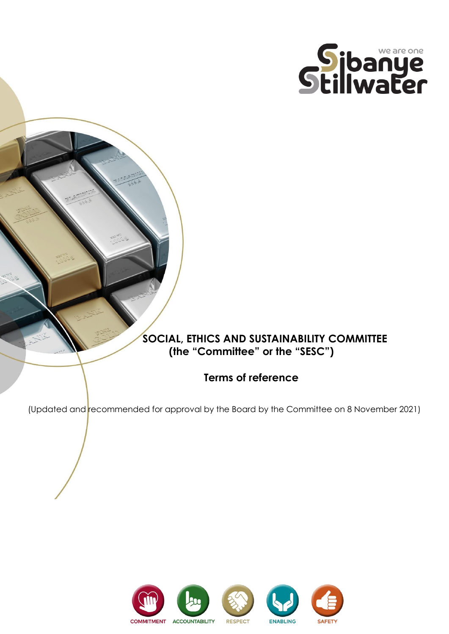

# **SOCIAL, ETHICS AND SUSTAINABILITY COMMITTEE (the "Committee" or the "SESC")**

# **Terms of reference**

(Updated and recommended for approval by the Board by the Committee on 8 November 2021)

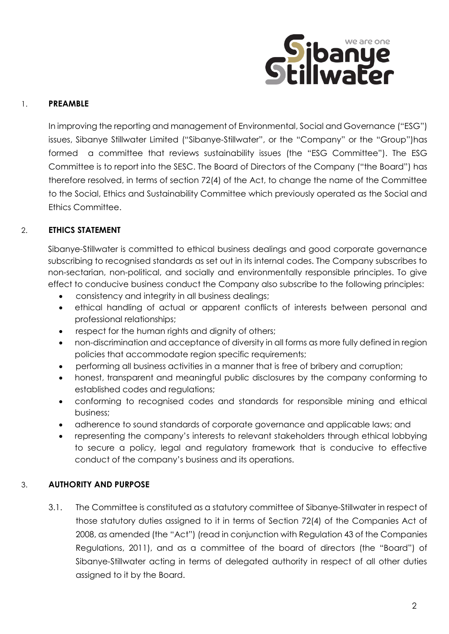

## 1. **PREAMBLE**

In improving the reporting and management of Environmental, Social and Governance ("ESG") issues, Sibanye Stillwater Limited ("Sibanye-Stillwater", or the "Company" or the "Group")has formed a committee that reviews sustainability issues (the "ESG Committee"). The ESG Committee is to report into the SESC. The Board of Directors of the Company ("the Board") has therefore resolved, in terms of section 72(4) of the Act, to change the name of the Committee to the Social, Ethics and Sustainability Committee which previously operated as the Social and Ethics Committee.

# 2. **ETHICS STATEMENT**

Sibanye-Stillwater is committed to ethical business dealings and good corporate governance subscribing to recognised standards as set out in its internal codes. The Company subscribes to non-sectarian, non-political, and socially and environmentally responsible principles. To give effect to conducive business conduct the Company also subscribe to the following principles:

- consistency and integrity in all business dealings;
- ethical handling of actual or apparent conflicts of interests between personal and professional relationships;
- respect for the human rights and dignity of others;
- non-discrimination and acceptance of diversity in all forms as more fully defined in region policies that accommodate region specific requirements;
- performing all business activities in a manner that is free of bribery and corruption;
- honest, transparent and meaningful public disclosures by the company conforming to established codes and regulations;
- conforming to recognised codes and standards for responsible mining and ethical business;
- adherence to sound standards of corporate governance and applicable laws; and
- representing the company's interests to relevant stakeholders through ethical lobbying to secure a policy, legal and regulatory framework that is conducive to effective conduct of the company's business and its operations.

# 3. **AUTHORITY AND PURPOSE**

3.1. The Committee is constituted as a statutory committee of Sibanye-Stillwater in respect of those statutory duties assigned to it in terms of Section 72(4) of the Companies Act of 2008, as amended (the "Act") (read in conjunction with Regulation 43 of the Companies Regulations, 2011), and as a committee of the board of directors (the "Board") of Sibanye-Stillwater acting in terms of delegated authority in respect of all other duties assigned to it by the Board.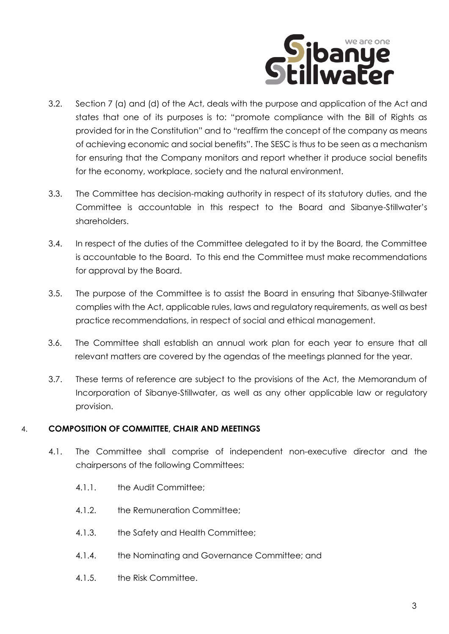

- 3.2. Section 7 (a) and (d) of the Act, deals with the purpose and application of the Act and states that one of its purposes is to: "promote compliance with the Bill of Rights as provided for in the Constitution" and to "reaffirm the concept of the company as means of achieving economic and social benefits". The SESC is thus to be seen as a mechanism for ensuring that the Company monitors and report whether it produce social benefits for the economy, workplace, society and the natural environment.
- 3.3. The Committee has decision-making authority in respect of its statutory duties, and the Committee is accountable in this respect to the Board and Sibanye-Stillwater's shareholders.
- 3.4. In respect of the duties of the Committee delegated to it by the Board, the Committee is accountable to the Board. To this end the Committee must make recommendations for approval by the Board.
- 3.5. The purpose of the Committee is to assist the Board in ensuring that Sibanye-Stillwater complies with the Act, applicable rules, laws and regulatory requirements, as well as best practice recommendations, in respect of social and ethical management.
- 3.6. The Committee shall establish an annual work plan for each year to ensure that all relevant matters are covered by the agendas of the meetings planned for the year.
- 3.7. These terms of reference are subject to the provisions of the Act, the Memorandum of Incorporation of Sibanye-Stillwater, as well as any other applicable law or regulatory provision.

## 4. **COMPOSITION OF COMMITTEE, CHAIR AND MEETINGS**

- 4.1. The Committee shall comprise of independent non-executive director and the chairpersons of the following Committees:
	- 4.1.1. the Audit Committee;
	- 4.1.2. the Remuneration Committee;
	- 4.1.3. the Safety and Health Committee;
	- 4.1.4. the Nominating and Governance Committee; and
	- 4.1.5. the Risk Committee.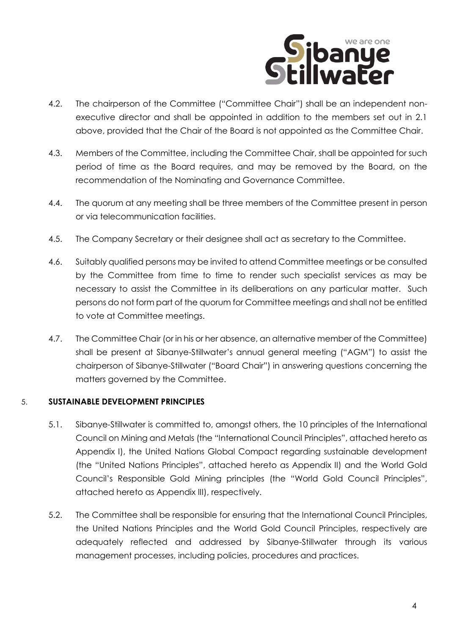

- 4.2. The chairperson of the Committee ("Committee Chair") shall be an independent nonexecutive director and shall be appointed in addition to the members set out in 2.1 above, provided that the Chair of the Board is not appointed as the Committee Chair.
- 4.3. Members of the Committee, including the Committee Chair, shall be appointed for such period of time as the Board requires, and may be removed by the Board, on the recommendation of the Nominating and Governance Committee.
- 4.4. The quorum at any meeting shall be three members of the Committee present in person or via telecommunication facilities.
- 4.5. The Company Secretary or their designee shall act as secretary to the Committee.
- 4.6. Suitably qualified persons may be invited to attend Committee meetings or be consulted by the Committee from time to time to render such specialist services as may be necessary to assist the Committee in its deliberations on any particular matter. Such persons do not form part of the quorum for Committee meetings and shall not be entitled to vote at Committee meetings.
- 4.7. The Committee Chair (or in his or her absence, an alternative member of the Committee) shall be present at Sibanye-Stillwater's annual general meeting ("AGM") to assist the chairperson of Sibanye-Stillwater ("Board Chair") in answering questions concerning the matters governed by the Committee.

## 5. **SUSTAINABLE DEVELOPMENT PRINCIPLES**

- 5.1. Sibanye-Stillwater is committed to, amongst others, the 10 principles of the International Council on Mining and Metals (the "International Council Principles", attached hereto as Appendix I), the United Nations Global Compact regarding sustainable development (the "United Nations Principles", attached hereto as Appendix II) and the World Gold Council's Responsible Gold Mining principles (the "World Gold Council Principles", attached hereto as Appendix III), respectively.
- 5.2. The Committee shall be responsible for ensuring that the International Council Principles, the United Nations Principles and the World Gold Council Principles, respectively are adequately reflected and addressed by Sibanye-Stillwater through its various management processes, including policies, procedures and practices.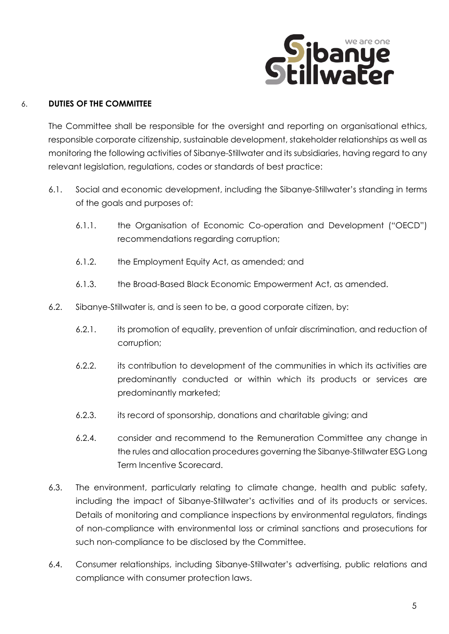

## 6. **DUTIES OF THE COMMITTEE**

The Committee shall be responsible for the oversight and reporting on organisational ethics, responsible corporate citizenship, sustainable development, stakeholder relationships as well as monitoring the following activities of Sibanye-Stillwater and its subsidiaries, having regard to any relevant legislation, regulations, codes or standards of best practice:

- 6.1. Social and economic development, including the Sibanye-Stillwater's standing in terms of the goals and purposes of:
	- 6.1.1. the Organisation of Economic Co-operation and Development ("OECD") recommendations regarding corruption;
	- 6.1.2. the Employment Equity Act, as amended; and
	- 6.1.3. the Broad-Based Black Economic Empowerment Act, as amended.
- 6.2. Sibanye-Stillwater is, and is seen to be, a good corporate citizen, by:
	- 6.2.1. its promotion of equality, prevention of unfair discrimination, and reduction of corruption;
	- 6.2.2. its contribution to development of the communities in which its activities are predominantly conducted or within which its products or services are predominantly marketed;
	- 6.2.3. its record of sponsorship, donations and charitable giving; and
	- 6.2.4. consider and recommend to the Remuneration Committee any change in the rules and allocation procedures governing the Sibanye-Stillwater ESG Long Term Incentive Scorecard.
- 6.3. The environment, particularly relating to climate change, health and public safety, including the impact of Sibanye-Stillwater's activities and of its products or services. Details of monitoring and compliance inspections by environmental regulators, findings of non-compliance with environmental loss or criminal sanctions and prosecutions for such non-compliance to be disclosed by the Committee.
- 6.4. Consumer relationships, including Sibanye-Stillwater's advertising, public relations and compliance with consumer protection laws.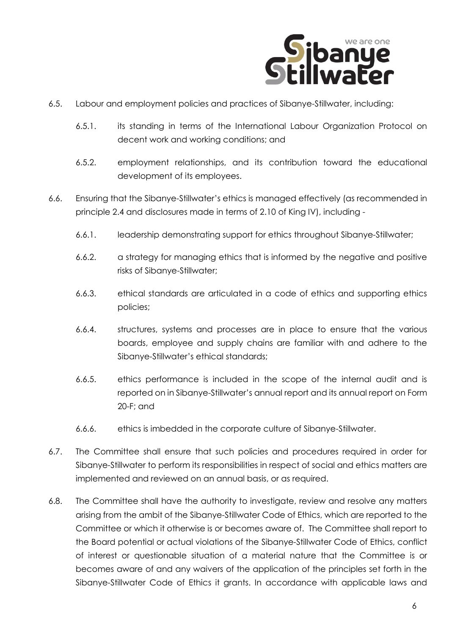

- 6.5. Labour and employment policies and practices of Sibanye-Stillwater, including:
	- 6.5.1. its standing in terms of the International Labour Organization Protocol on decent work and working conditions; and
	- 6.5.2. employment relationships, and its contribution toward the educational development of its employees.
- 6.6. Ensuring that the Sibanye-Stillwater's ethics is managed effectively (as recommended in principle 2.4 and disclosures made in terms of 2.10 of King IV), including -
	- 6.6.1. leadership demonstrating support for ethics throughout Sibanye-Stillwater;
	- 6.6.2. a strategy for managing ethics that is informed by the negative and positive risks of Sibanye-Stillwater;
	- 6.6.3. ethical standards are articulated in a code of ethics and supporting ethics policies;
	- 6.6.4. structures, systems and processes are in place to ensure that the various boards, employee and supply chains are familiar with and adhere to the Sibanye-Stillwater's ethical standards;
	- 6.6.5. ethics performance is included in the scope of the internal audit and is reported on in Sibanye-Stillwater's annual report and its annual report on Form 20-F; and
	- 6.6.6. ethics is imbedded in the corporate culture of Sibanye-Stillwater.
- 6.7. The Committee shall ensure that such policies and procedures required in order for Sibanye-Stillwater to perform its responsibilities in respect of social and ethics matters are implemented and reviewed on an annual basis, or as required.
- 6.8. The Committee shall have the authority to investigate, review and resolve any matters arising from the ambit of the Sibanye-Stillwater Code of Ethics, which are reported to the Committee or which it otherwise is or becomes aware of. The Committee shall report to the Board potential or actual violations of the Sibanye-Stillwater Code of Ethics, conflict of interest or questionable situation of a material nature that the Committee is or becomes aware of and any waivers of the application of the principles set forth in the Sibanye-Stillwater Code of Ethics it grants. In accordance with applicable laws and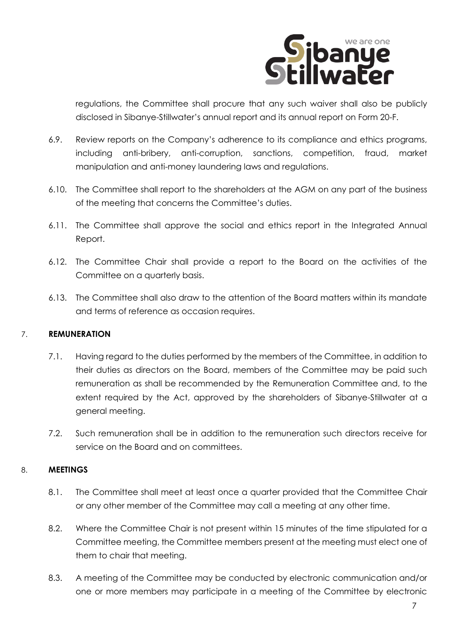

regulations, the Committee shall procure that any such waiver shall also be publicly disclosed in Sibanye-Stillwater's annual report and its annual report on Form 20-F.

- 6.9. Review reports on the Company's adherence to its compliance and ethics programs, including anti-bribery, anti-corruption, sanctions, competition, fraud, market manipulation and anti-money laundering laws and regulations.
- 6.10. The Committee shall report to the shareholders at the AGM on any part of the business of the meeting that concerns the Committee's duties.
- 6.11. The Committee shall approve the social and ethics report in the Integrated Annual Report.
- 6.12. The Committee Chair shall provide a report to the Board on the activities of the Committee on a quarterly basis.
- 6.13. The Committee shall also draw to the attention of the Board matters within its mandate and terms of reference as occasion requires.

# 7. **REMUNERATION**

- 7.1. Having regard to the duties performed by the members of the Committee, in addition to their duties as directors on the Board, members of the Committee may be paid such remuneration as shall be recommended by the Remuneration Committee and, to the extent required by the Act, approved by the shareholders of Sibanye-Stillwater at a general meeting.
- 7.2. Such remuneration shall be in addition to the remuneration such directors receive for service on the Board and on committees.

## 8. **MEETINGS**

- 8.1. The Committee shall meet at least once a quarter provided that the Committee Chair or any other member of the Committee may call a meeting at any other time.
- 8.2. Where the Committee Chair is not present within 15 minutes of the time stipulated for a Committee meeting, the Committee members present at the meeting must elect one of them to chair that meeting.
- 8.3. A meeting of the Committee may be conducted by electronic communication and/or one or more members may participate in a meeting of the Committee by electronic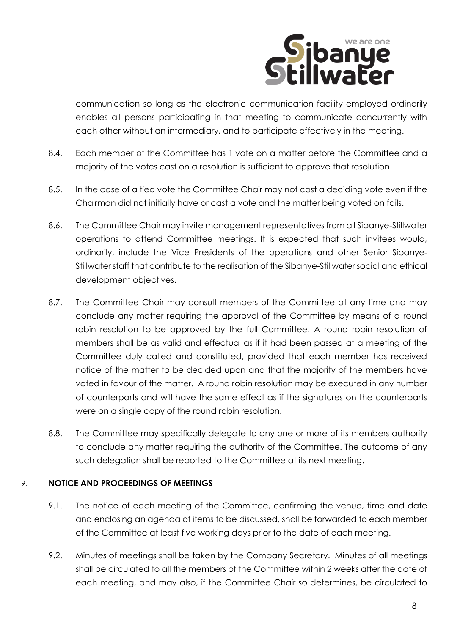

communication so long as the electronic communication facility employed ordinarily enables all persons participating in that meeting to communicate concurrently with each other without an intermediary, and to participate effectively in the meeting.

- 8.4. Each member of the Committee has 1 vote on a matter before the Committee and a majority of the votes cast on a resolution is sufficient to approve that resolution.
- 8.5. In the case of a tied vote the Committee Chair may not cast a deciding vote even if the Chairman did not initially have or cast a vote and the matter being voted on fails.
- 8.6. The Committee Chair may invite management representatives from all Sibanye-Stillwater operations to attend Committee meetings. It is expected that such invitees would, ordinarily, include the Vice Presidents of the operations and other Senior Sibanye-Stillwater staff that contribute to the realisation of the Sibanye-Stillwater social and ethical development objectives.
- 8.7. The Committee Chair may consult members of the Committee at any time and may conclude any matter requiring the approval of the Committee by means of a round robin resolution to be approved by the full Committee. A round robin resolution of members shall be as valid and effectual as if it had been passed at a meeting of the Committee duly called and constituted, provided that each member has received notice of the matter to be decided upon and that the majority of the members have voted in favour of the matter. A round robin resolution may be executed in any number of counterparts and will have the same effect as if the signatures on the counterparts were on a single copy of the round robin resolution.
- 8.8. The Committee may specifically delegate to any one or more of its members authority to conclude any matter requiring the authority of the Committee. The outcome of any such delegation shall be reported to the Committee at its next meeting.

# 9. **NOTICE AND PROCEEDINGS OF MEETINGS**

- 9.1. The notice of each meeting of the Committee, confirming the venue, time and date and enclosing an agenda of items to be discussed, shall be forwarded to each member of the Committee at least five working days prior to the date of each meeting.
- 9.2. Minutes of meetings shall be taken by the Company Secretary. Minutes of all meetings shall be circulated to all the members of the Committee within 2 weeks after the date of each meeting, and may also, if the Committee Chair so determines, be circulated to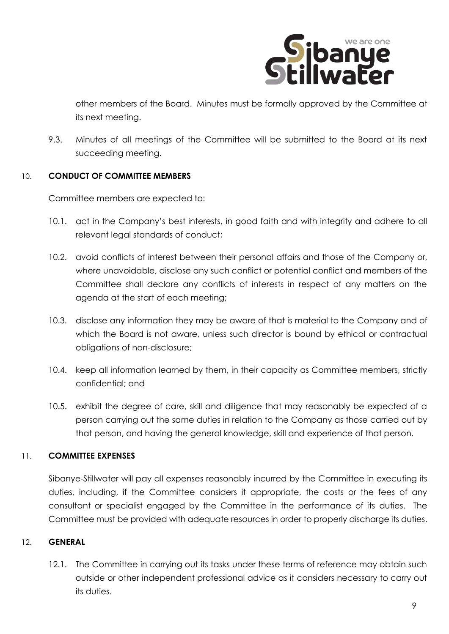

other members of the Board. Minutes must be formally approved by the Committee at its next meeting.

9.3. Minutes of all meetings of the Committee will be submitted to the Board at its next succeeding meeting.

## 10. **CONDUCT OF COMMITTEE MEMBERS**

Committee members are expected to:

- 10.1. act in the Company's best interests, in good faith and with integrity and adhere to all relevant legal standards of conduct;
- 10.2. avoid conflicts of interest between their personal affairs and those of the Company or, where unavoidable, disclose any such conflict or potential conflict and members of the Committee shall declare any conflicts of interests in respect of any matters on the agenda at the start of each meeting;
- 10.3. disclose any information they may be aware of that is material to the Company and of which the Board is not aware, unless such director is bound by ethical or contractual obligations of non-disclosure;
- 10.4. keep all information learned by them, in their capacity as Committee members, strictly confidential; and
- 10.5. exhibit the degree of care, skill and diligence that may reasonably be expected of a person carrying out the same duties in relation to the Company as those carried out by that person, and having the general knowledge, skill and experience of that person.

# 11. **COMMITTEE EXPENSES**

Sibanye-Stillwater will pay all expenses reasonably incurred by the Committee in executing its duties, including, if the Committee considers it appropriate, the costs or the fees of any consultant or specialist engaged by the Committee in the performance of its duties. The Committee must be provided with adequate resources in order to properly discharge its duties.

## 12. **GENERAL**

12.1. The Committee in carrying out its tasks under these terms of reference may obtain such outside or other independent professional advice as it considers necessary to carry out its duties.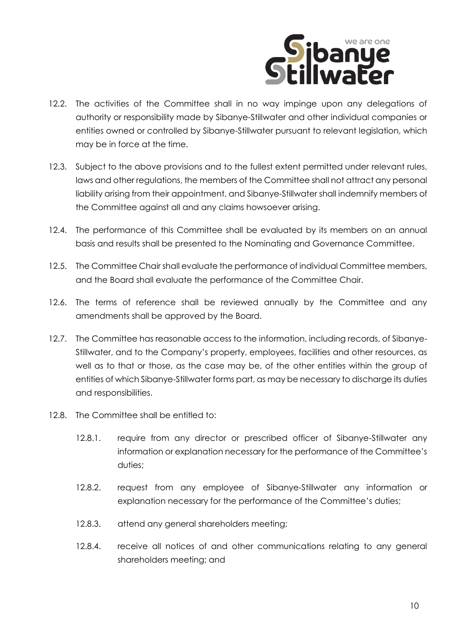

- 12.2. The activities of the Committee shall in no way impinge upon any delegations of authority or responsibility made by Sibanye-Stillwater and other individual companies or entities owned or controlled by Sibanye-Stillwater pursuant to relevant legislation, which may be in force at the time.
- 12.3. Subject to the above provisions and to the fullest extent permitted under relevant rules, laws and other regulations, the members of the Committee shall not attract any personal liability arising from their appointment, and Sibanye-Stillwater shall indemnify members of the Committee against all and any claims howsoever arising.
- 12.4. The performance of this Committee shall be evaluated by its members on an annual basis and results shall be presented to the Nominating and Governance Committee.
- 12.5. The Committee Chair shall evaluate the performance of individual Committee members, and the Board shall evaluate the performance of the Committee Chair.
- 12.6. The terms of reference shall be reviewed annually by the Committee and any amendments shall be approved by the Board.
- 12.7. The Committee has reasonable access to the information, including records, of Sibanye-Stillwater, and to the Company's property, employees, facilities and other resources, as well as to that or those, as the case may be, of the other entities within the group of entities of which Sibanye-Stillwater forms part, as may be necessary to discharge its duties and responsibilities.
- 12.8. The Committee shall be entitled to:
	- 12.8.1. require from any director or prescribed officer of Sibanye-Stillwater any information or explanation necessary for the performance of the Committee's duties;
	- 12.8.2. request from any employee of Sibanye-Stillwater any information or explanation necessary for the performance of the Committee's duties;
	- 12.8.3. attend any general shareholders meeting;
	- 12.8.4. receive all notices of and other communications relating to any general shareholders meeting; and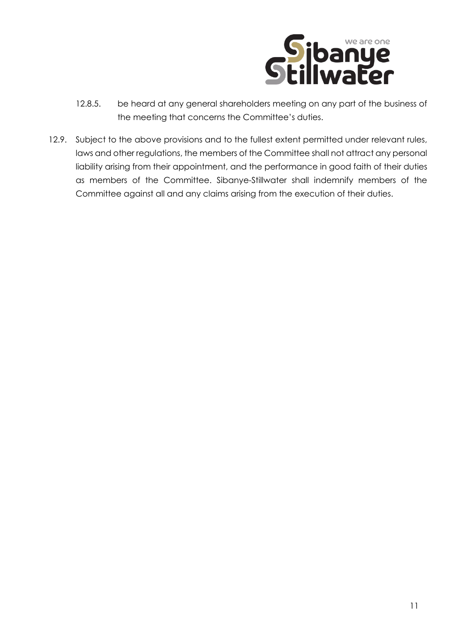

- 12.8.5. be heard at any general shareholders meeting on any part of the business of the meeting that concerns the Committee's duties.
- 12.9. Subject to the above provisions and to the fullest extent permitted under relevant rules, laws and other regulations, the members of the Committee shall not attract any personal liability arising from their appointment, and the performance in good faith of their duties as members of the Committee. Sibanye-Stillwater shall indemnify members of the Committee against all and any claims arising from the execution of their duties.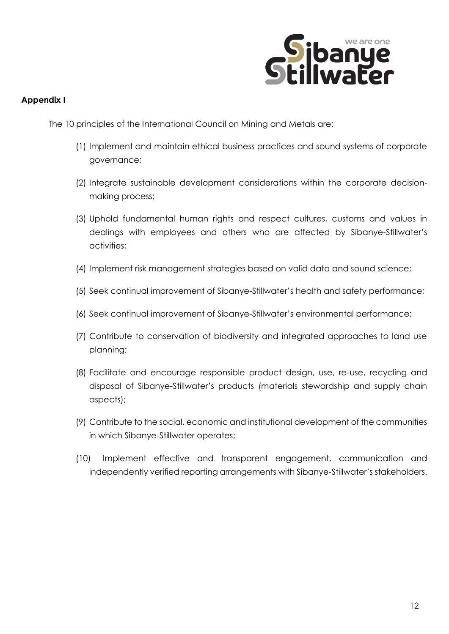

## **Appendix I**

The 10 principles of the International Council on Mining and Metals are:

- (1) Implement and maintain ethical business practices and sound systems of corporate governance;
- (2) Integrate sustainable development considerations within the corporate decisionmaking process;
- (3) Uphold fundamental human rights and respect cultures, customs and values in dealings with employees and others who are affected by Sibanye-Stillwater's activities;
- (4) Implement risk management strategies based on valid data and sound science;
- (5) Seek continual improvement of Sibanye-Stillwater's health and safety performance;
- (6) Seek continual improvement of Sibanye-Stillwater's environmental performance;
- (7) Contribute to conservation of biodiversity and integrated approaches to land use planning;
- (8) Facilitate and encourage responsible product design, use, re-use, recycling and disposal of Sibanye-Stillwater's products (materials stewardship and supply chain aspects);
- (9) Contribute to the social, economic and institutional development of the communities in which Sibanye-Stillwater operates;
- (10) Implement effective and transparent engagement, communication and independently verified reporting arrangements with Sibanye-Stillwater's stakeholders.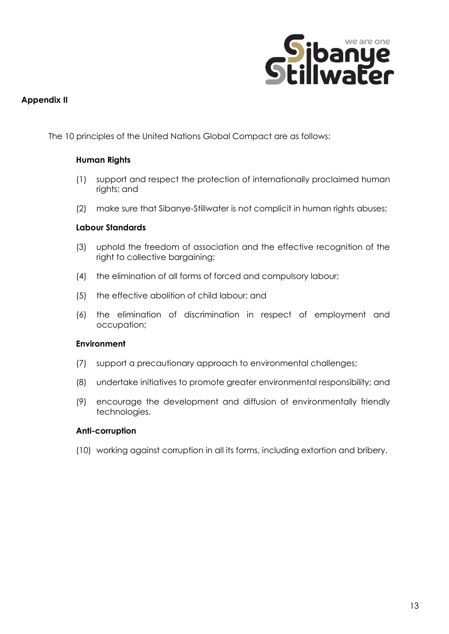

#### **Appendix II**

The 10 principles of the United Nations Global Compact are as follows:

#### **Human Rights**

- (1) support and respect the protection of internationally proclaimed human rights; and
- (2) make sure that Sibanye-Stillwater is not complicit in human rights abuses;

#### **Labour Standards**

- (3) uphold the freedom of association and the effective recognition of the right to collective bargaining;
- (4) the elimination of all forms of forced and compulsory labour;
- (5) the effective abolition of child labour; and
- (6) the elimination of discrimination in respect of employment and occupation;

#### **Environment**

- (7) support a precautionary approach to environmental challenges;
- (8) undertake initiatives to promote greater environmental responsibility; and
- (9) encourage the development and diffusion of environmentally friendly technologies.

#### **Anti-corruption**

(10) working against corruption in all its forms, including extortion and bribery.